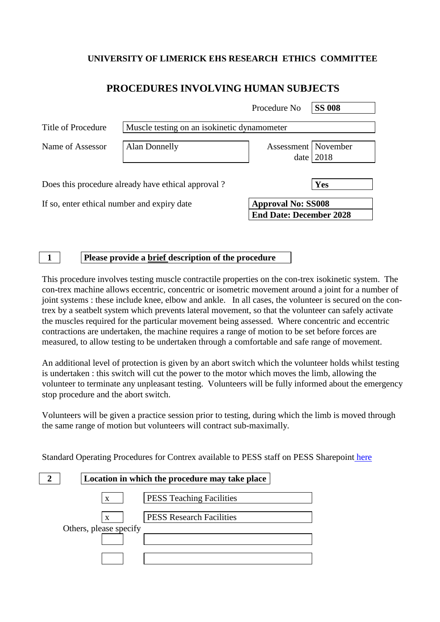## **UNIVERSITY OF LIMERICK EHS RESEARCH ETHICS COMMITTEE**

# **PROCEDURES INVOLVING HUMAN SUBJECTS**

|                                                    |                                             | Procedure No                                                | <b>SS 008</b> |  |
|----------------------------------------------------|---------------------------------------------|-------------------------------------------------------------|---------------|--|
| Title of Procedure                                 | Muscle testing on an isokinetic dynamometer |                                                             |               |  |
| Name of Assessor                                   | <b>Alan Donnelly</b>                        | Assessment November<br>date                                 | 2018          |  |
| Does this procedure already have ethical approval? |                                             |                                                             | Yes           |  |
| If so, enter ethical number and expiry date        |                                             | <b>Approval No: SS008</b><br><b>End Date: December 2028</b> |               |  |

### **1 Please provide a brief description of the procedure**

This procedure involves testing muscle contractile properties on the con-trex isokinetic system. The con-trex machine allows eccentric, concentric or isometric movement around a joint for a number of joint systems : these include knee, elbow and ankle. In all cases, the volunteer is secured on the contrex by a seatbelt system which prevents lateral movement, so that the volunteer can safely activate the muscles required for the particular movement being assessed. Where concentric and eccentric contractions are undertaken, the machine requires a range of motion to be set before forces are measured, to allow testing to be undertaken through a comfortable and safe range of movement.

An additional level of protection is given by an abort switch which the volunteer holds whilst testing is undertaken : this switch will cut the power to the motor which moves the limb, allowing the volunteer to terminate any unpleasant testing. Volunteers will be fully informed about the emergency stop procedure and the abort switch.

Volunteers will be given a practice session prior to testing, during which the limb is moved through the same range of motion but volunteers will contract sub-maximally.

Standard Operating Procedures for Contrex available to PESS staff on PESS Sharepoint [here](https://sharepoint.ul.ie/SiteDirectory/PESS/Health%20and%20Safety1/Forms/AllItems.aspx?RootFolder=%2FSiteDirectory%2FPESS%2FHealth%20and%20Safety1%2FStandard%20Operating%20Procedures%20%28SOPs%29%2FPhysiology%20Lab%20SOPs)

|                        | Location in which the procedure may take place |
|------------------------|------------------------------------------------|
| $\mathbf{x}$           | <b>PESS Teaching Facilities</b>                |
| X                      | <b>PESS Research Facilities</b>                |
| Others, please specify |                                                |
|                        |                                                |
|                        |                                                |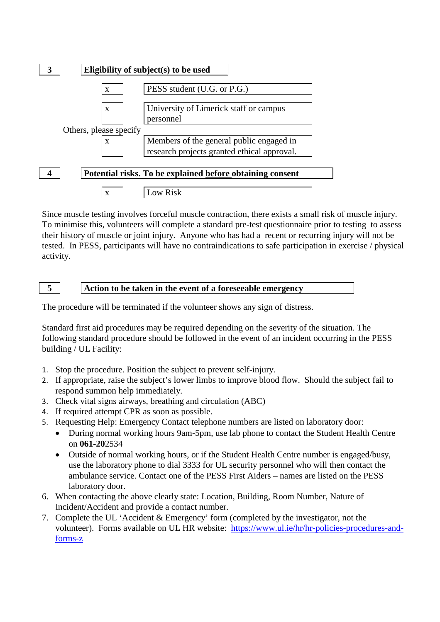

Since muscle testing involves forceful muscle contraction, there exists a small risk of muscle injury. To minimise this, volunteers will complete a standard pre-test questionnaire prior to testing to assess their history of muscle or joint injury. Anyone who has had a recent or recurring injury will not be tested. In PESS, participants will have no contraindications to safe participation in exercise / physical activity.

**5 Action to be taken in the event of a foreseeable emergency**

The procedure will be terminated if the volunteer shows any sign of distress.

Standard first aid procedures may be required depending on the severity of the situation. The following standard procedure should be followed in the event of an incident occurring in the PESS building / UL Facility:

- 1. Stop the procedure. Position the subject to prevent self-injury.
- 2. If appropriate, raise the subject's lower limbs to improve blood flow. Should the subject fail to respond summon help immediately.
- 3. Check vital signs airways, breathing and circulation (ABC)
- 4. If required attempt CPR as soon as possible.
- 5. Requesting Help: Emergency Contact telephone numbers are listed on laboratory door:
	- During normal working hours 9am-5pm, use lab phone to contact the Student Health Centre on **061-20**2534
	- Outside of normal working hours, or if the Student Health Centre number is engaged/busy, use the laboratory phone to dial 3333 for UL security personnel who will then contact the ambulance service. Contact one of the PESS First Aiders – names are listed on the PESS laboratory door.
- 6. When contacting the above clearly state: Location, Building, Room Number, Nature of Incident/Accident and provide a contact number.
- 7. Complete the UL 'Accident & Emergency' form (completed by the investigator, not the volunteer). Forms available on UL HR website: [https://www.ul.ie/hr/hr-policies-procedures-and](https://www.ul.ie/hr/hr-policies-procedures-and-forms-z)[forms-z](https://www.ul.ie/hr/hr-policies-procedures-and-forms-z)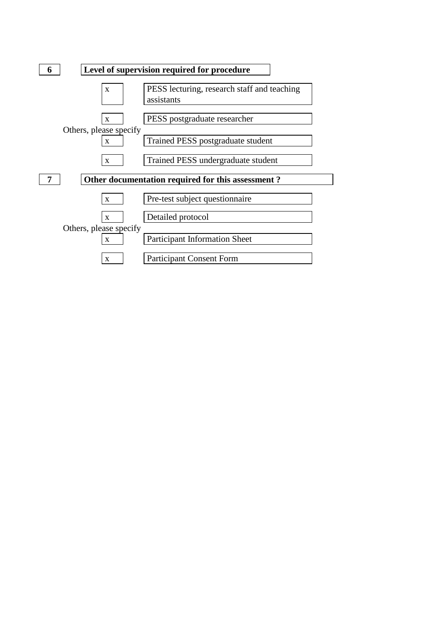